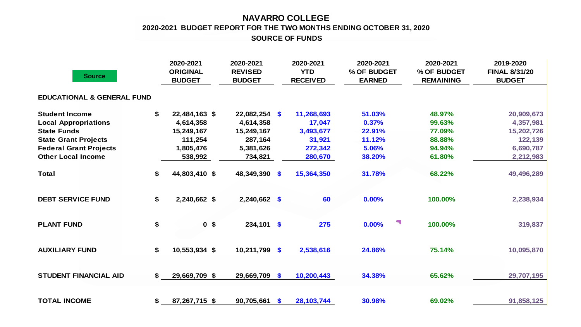## **NAVARRO COLLEGE SOURCE OF FUNDS 2020-2021 BUDGET REPORT FOR THE TWO MONTHS ENDING OCTOBER 31, 2020**

| <b>Source</b>                         |    | 2020-2021<br><b>ORIGINAL</b><br><b>BUDGET</b> | 2020-2021<br><b>REVISED</b><br><b>BUDGET</b> |              | 2020-2021<br><b>YTD</b><br><b>RECEIVED</b> | 2020-2021<br>% OF BUDGET<br><b>EARNED</b> | 2020-2021<br>% OF BUDGET<br><b>REMAINING</b> | 2019-2020<br><b>FINAL 8/31/20</b><br><b>BUDGET</b> |  |  |  |  |
|---------------------------------------|----|-----------------------------------------------|----------------------------------------------|--------------|--------------------------------------------|-------------------------------------------|----------------------------------------------|----------------------------------------------------|--|--|--|--|
| <b>EDUCATIONAL &amp; GENERAL FUND</b> |    |                                               |                                              |              |                                            |                                           |                                              |                                                    |  |  |  |  |
| <b>Student Income</b>                 | \$ | 22,484,163 \$                                 | $22,082,254$ \$                              |              | 11,268,693                                 | 51.03%                                    | 48.97%                                       | 20,909,673                                         |  |  |  |  |
| <b>Local Appropriations</b>           |    | 4,614,358                                     | 4,614,358                                    |              | 17,047                                     | 0.37%                                     | 99.63%                                       | 4,357,981                                          |  |  |  |  |
| <b>State Funds</b>                    |    | 15,249,167                                    | 15,249,167                                   |              | 3,493,677                                  | 22.91%                                    | 77.09%                                       | 15,202,726                                         |  |  |  |  |
| <b>State Grant Projects</b>           |    | 111,254                                       | 287,164                                      |              | 31,921                                     | 11.12%                                    | 88.88%                                       | 122,139                                            |  |  |  |  |
| <b>Federal Grant Projects</b>         |    | 1,805,476                                     | 5,381,626                                    |              | 272,342                                    | 5.06%                                     | 94.94%                                       | 6,690,787                                          |  |  |  |  |
| <b>Other Local Income</b>             |    | 538,992                                       | 734,821                                      |              | 280,670                                    | 38.20%                                    | 61.80%                                       | 2,212,983                                          |  |  |  |  |
| <b>Total</b>                          | \$ | 44,803,410 \$                                 | 48,349,390                                   | \$           | 15,364,350                                 | 31.78%                                    | 68.22%                                       | 49,496,289                                         |  |  |  |  |
| <b>DEBT SERVICE FUND</b>              | \$ | 2,240,662 \$                                  | 2,240,662 \$                                 |              | 60                                         | 0.00%                                     | 100.00%                                      | 2,238,934                                          |  |  |  |  |
| <b>PLANT FUND</b>                     | \$ | 0 <sup>5</sup>                                | $234,101$ \$                                 |              | 275                                        | Ч,<br>0.00%                               | 100.00%                                      | 319,837                                            |  |  |  |  |
| <b>AUXILIARY FUND</b>                 | \$ | 10,553,934 \$                                 | 10,211,799                                   | \$           | 2,538,616                                  | 24.86%                                    | 75.14%                                       | 10,095,870                                         |  |  |  |  |
| <b>STUDENT FINANCIAL AID</b>          | \$ | 29,669,709 \$                                 | 29,669,709                                   | \$           | 10,200,443                                 | 34.38%                                    | 65.62%                                       | 29,707,195                                         |  |  |  |  |
| <b>TOTAL INCOME</b>                   | \$ | 87,267,715 \$                                 | 90,705,661                                   | $\mathbf{s}$ | 28, 103, 744                               | 30.98%                                    | 69.02%                                       | 91,858,125                                         |  |  |  |  |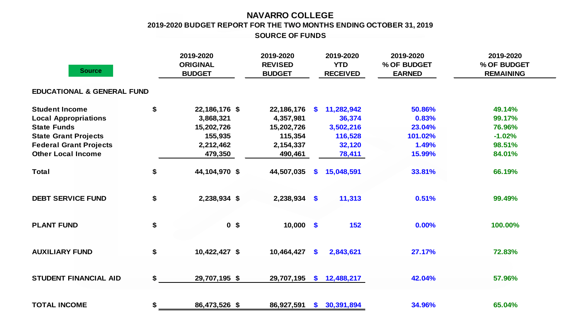## **NAVARRO COLLEGE 2019-2020 BUDGET REPORT FOR THE TWO MONTHS ENDING OCTOBER 31, 2019 SOURCE OF FUNDS**

| <b>Source</b>                         | 2019-2020<br><b>ORIGINAL</b><br><b>BUDGET</b> | 2019-2020<br><b>REVISED</b><br><b>BUDGET</b> |              | 2019-2020<br><b>YTD</b><br><b>RECEIVED</b> | 2019-2020<br>% OF BUDGET<br><b>EARNED</b> | 2019-2020<br>% OF BUDGET<br><b>REMAINING</b> |
|---------------------------------------|-----------------------------------------------|----------------------------------------------|--------------|--------------------------------------------|-------------------------------------------|----------------------------------------------|
| <b>EDUCATIONAL &amp; GENERAL FUND</b> |                                               |                                              |              |                                            |                                           |                                              |
| <b>Student Income</b>                 | \$<br>22,186,176 \$                           | 22,186,176                                   | <b>S</b>     | 11,282,942                                 | 50.86%                                    | 49.14%                                       |
| <b>Local Appropriations</b>           | 3,868,321                                     | 4,357,981                                    |              | 36,374                                     | 0.83%                                     | 99.17%                                       |
| <b>State Funds</b>                    | 15,202,726                                    | 15,202,726                                   |              | 3,502,216                                  | 23.04%                                    | 76.96%                                       |
| <b>State Grant Projects</b>           | 155,935                                       | 115,354                                      |              | 116,528                                    | 101.02%                                   | $-1.02%$                                     |
| <b>Federal Grant Projects</b>         | 2,212,462                                     | 2,154,337                                    |              | 32,120                                     | 1.49%                                     | 98.51%                                       |
| <b>Other Local Income</b>             | 479,350                                       | 490,461                                      |              | 78,411                                     | 15.99%                                    | 84.01%                                       |
| <b>Total</b>                          | \$<br>44,104,970 \$                           | 44,507,035                                   | S.           | 15,048,591                                 | 33.81%                                    | 66.19%                                       |
| <b>DEBT SERVICE FUND</b>              | \$<br>2,238,934 \$                            | $2,238,934$ \$                               |              | 11,313                                     | 0.51%                                     | 99.49%                                       |
| <b>PLANT FUND</b>                     | \$<br>0 <sup>5</sup>                          | $10,000$ \$                                  |              | 152                                        | 0.00%                                     | 100.00%                                      |
| <b>AUXILIARY FUND</b>                 | \$<br>10,422,427 \$                           | 10,464,427                                   | \$           | 2,843,621                                  | 27.17%                                    | 72.83%                                       |
| <b>STUDENT FINANCIAL AID</b>          | \$<br>29,707,195 \$                           | 29,707,195                                   | $\mathbf{s}$ | 12,488,217                                 | 42.04%                                    | 57.96%                                       |
| <b>TOTAL INCOME</b>                   | \$<br>86,473,526 \$                           | 86,927,591                                   |              | \$30,391,894                               | 34.96%                                    | 65.04%                                       |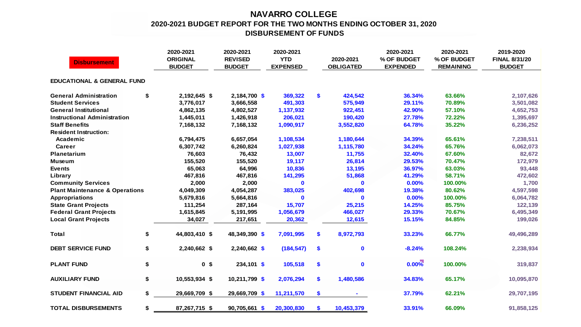## **NAVARRO COLLEGE 2020-2021 BUDGET REPORT FOR THE TWO MONTHS ENDING OCTOBER 31, 2020 DISBURSEMENT OF FUNDS**

| <b>Disbursement</b>                       |    | 2020-2021<br><b>ORIGINAL</b><br><b>BUDGET</b> | 2020-2021<br><b>REVISED</b><br><b>BUDGET</b> | 2020-2021<br><b>YTD</b><br><b>EXPENSED</b> |     | 2020-2021<br><b>OBLIGATED</b> | 2020-2021<br>% OF BUDGET<br><b>EXPENDED</b> | 2020-2021<br>% OF BUDGET<br><b>REMAINING</b> | 2019-2020<br><b>FINAL 8/31/20</b><br><b>BUDGET</b> |
|-------------------------------------------|----|-----------------------------------------------|----------------------------------------------|--------------------------------------------|-----|-------------------------------|---------------------------------------------|----------------------------------------------|----------------------------------------------------|
| <b>EDUCATIONAL &amp; GENERAL FUND</b>     |    |                                               |                                              |                                            |     |                               |                                             |                                              |                                                    |
| <b>General Administration</b>             | \$ | 2,192,645 \$                                  | 2,184,700 \$                                 | 369,322                                    | \$  | 424,542                       | 36.34%                                      | 63.66%                                       | 2,107,626                                          |
| <b>Student Services</b>                   |    | 3,776,017                                     | 3,666,558                                    | 491,303                                    |     | 575,949                       | 29.11%                                      | 70.89%                                       | 3,501,082                                          |
| <b>General Institutional</b>              |    | 4,862,135                                     | 4,802,527                                    | 1,137,932                                  |     | 922,451                       | 42.90%                                      | 57.10%                                       | 4,652,753                                          |
| <b>Instructional Administration</b>       |    | 1,445,011                                     | 1,426,918                                    | 206,021                                    |     | 190,420                       | 27.78%                                      | 72.22%                                       | 1,395,697                                          |
| <b>Staff Benefits</b>                     |    | 7,168,132                                     | 7,168,132                                    | 1,090,917                                  |     | 3,552,820                     | 64.78%                                      | 35.22%                                       | 6,236,252                                          |
| <b>Resident Instruction:</b>              |    |                                               |                                              |                                            |     |                               |                                             |                                              |                                                    |
| Academic                                  |    | 6,794,475                                     | 6,657,054                                    | 1,108,534                                  |     | 1,180,644                     | 34.39%                                      | 65.61%                                       | 7,238,511                                          |
| Career                                    |    | 6,307,742                                     | 6,260,824                                    | 1,027,938                                  |     | 1,115,780                     | 34.24%                                      | 65.76%                                       | 6,062,073                                          |
| Planetarium                               |    | 76,603                                        | 76,432                                       | 13,007                                     |     | 11,755                        | 32.40%                                      | 67.60%                                       | 82,672                                             |
| <b>Museum</b>                             |    | 155,520                                       | 155,520                                      | 19,117                                     |     | 26,814                        | 29.53%                                      | 70.47%                                       | 172,979                                            |
| <b>Events</b>                             |    | 65,063                                        | 64,996                                       | 10,836                                     |     | 13,195                        | 36.97%                                      | 63.03%                                       | 93,448                                             |
| Library                                   |    | 467,816                                       | 467,816                                      | 141,295                                    |     | 51,868                        | 41.29%                                      | 58.71%                                       | 472,602                                            |
| <b>Community Services</b>                 |    | 2,000                                         | 2,000                                        | $\mathbf 0$                                |     | $\mathbf 0$                   | 0.00%                                       | 100.00%                                      | 1,700                                              |
| <b>Plant Maintenance &amp; Operations</b> |    | 4,049,309                                     | 4,054,287                                    | 383,025                                    |     | 402,698                       | 19.38%                                      | 80.62%                                       | 4,597,598                                          |
| <b>Appropriations</b>                     |    | 5,679,816                                     | 5,664,816                                    | $\mathbf 0$                                |     | $\mathbf 0$                   | 0.00%                                       | 100.00%                                      | 6,064,782                                          |
| <b>State Grant Projects</b>               |    | 111,254                                       | 287,164                                      | 15,707                                     |     | 25,215                        | 14.25%                                      | 85.75%                                       | 122,139                                            |
| <b>Federal Grant Projects</b>             |    | 1,615,845                                     | 5,191,995                                    | 1,056,679                                  |     | 466,027                       | 29.33%                                      | 70.67%                                       | 6,495,349                                          |
| <b>Local Grant Projects</b>               |    | 34,027                                        | 217,651                                      | 20,362                                     |     | 12,615                        | 15.15%                                      | 84.85%                                       | 199,026                                            |
| <b>Total</b>                              | \$ | 44,803,410 \$                                 | 48,349,390 \$                                | 7,091,995                                  | S.  | 8,972,793                     | 33.23%                                      | 66.77%                                       | 49,496,289                                         |
| <b>DEBT SERVICE FUND</b>                  | \$ | 2,240,662 \$                                  | $2,240,662$ \$                               | (184, 547)                                 | \$  | $\mathbf 0$                   | $-8.24%$                                    | 108.24%                                      | 2,238,934                                          |
| <b>PLANT FUND</b>                         | \$ | 0 <sup>5</sup>                                | $234,101$ \$                                 | 105,518                                    | \$  | $\mathbf 0$                   | $0.00\%$                                    | 100.00%                                      | 319,837                                            |
| <b>AUXILIARY FUND</b>                     | \$ | 10,553,934 \$                                 | 10,211,799 \$                                | 2,076,294                                  | \$. | 1,480,586                     | 34.83%                                      | 65.17%                                       | 10,095,870                                         |
| <b>STUDENT FINANCIAL AID</b>              | \$ | 29,669,709 \$                                 | 29,669,709 \$                                | 11,211,570                                 | \$  |                               | 37.79%                                      | 62.21%                                       | 29,707,195                                         |
| <b>TOTAL DISBURSEMENTS</b>                | \$ | 87,267,715 \$                                 | 90,705,661 \$                                | 20,300,830                                 | \$  | 10,453,379                    | 33.91%                                      | 66.09%                                       | 91,858,125                                         |